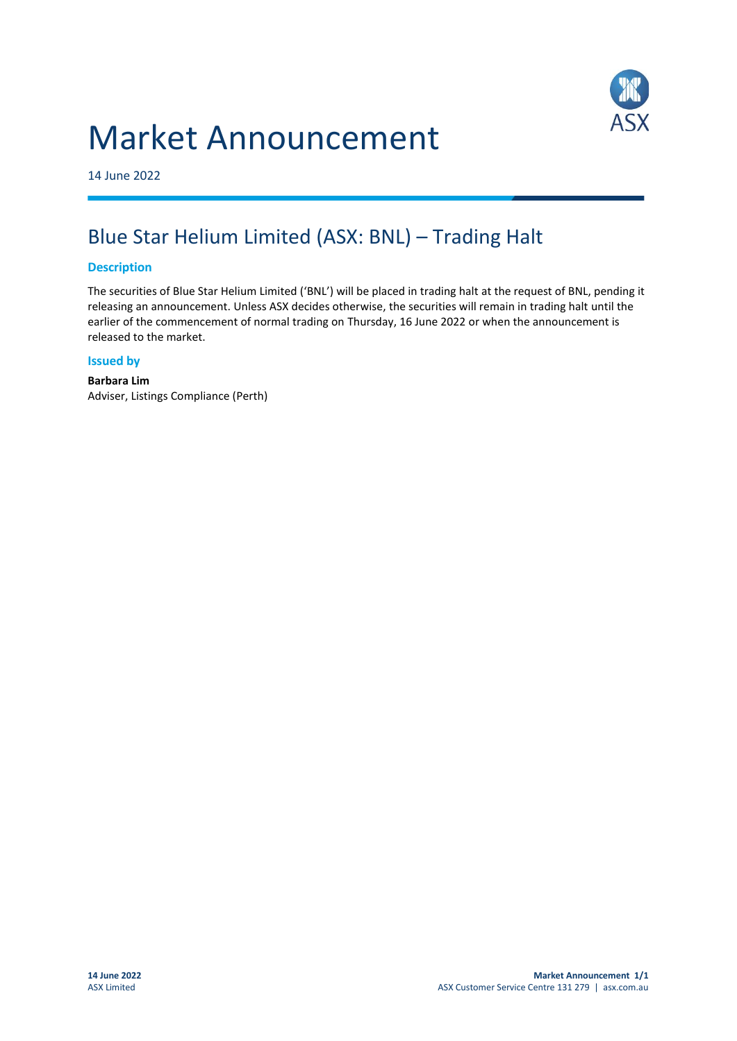## Market Announcement



14 June 2022

### Blue Star Helium Limited (ASX: BNL) – Trading Halt

#### **Description**

The securities of Blue Star Helium Limited ('BNL') will be placed in trading halt at the request of BNL, pending it releasing an announcement. Unless ASX decides otherwise, the securities will remain in trading halt until the earlier of the commencement of normal trading on Thursday, 16 June 2022 or when the announcement is released to the market.

#### **Issued by**

**Barbara Lim** Adviser, Listings Compliance (Perth)